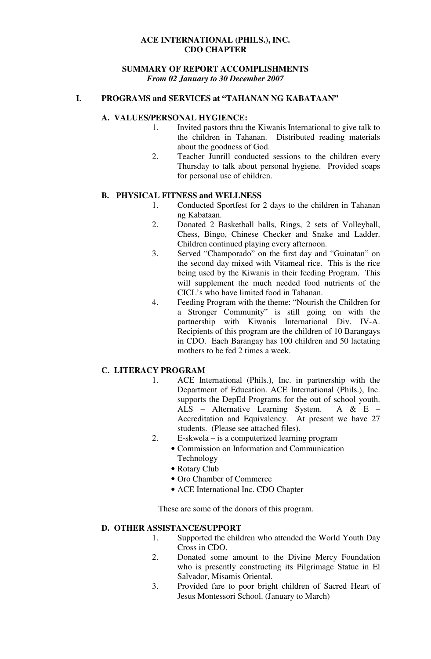## **ACE INTERNATIONAL (PHILS.), INC. CDO CHAPTER**

#### **SUMMARY OF REPORT ACCOMPLISHMENTS**  *From 02 January to 30 December 2007*

#### **I. PROGRAMS and SERVICES at "TAHANAN NG KABATAAN"**

#### **A. VALUES/PERSONAL HYGIENCE:**

- 1. Invited pastors thru the Kiwanis International to give talk to the children in Tahanan. Distributed reading materials about the goodness of God.
- 2. Teacher Junrill conducted sessions to the children every Thursday to talk about personal hygiene. Provided soaps for personal use of children.

## **B. PHYSICAL FITNESS and WELLNESS**

- 1. Conducted Sportfest for 2 days to the children in Tahanan ng Kabataan.
- 2. Donated 2 Basketball balls, Rings, 2 sets of Volleyball, Chess, Bingo, Chinese Checker and Snake and Ladder. Children continued playing every afternoon.
- 3. Served "Champorado" on the first day and "Guinatan" on the second day mixed with Vitameal rice. This is the rice being used by the Kiwanis in their feeding Program. This will supplement the much needed food nutrients of the CICL's who have limited food in Tahanan.
- 4. Feeding Program with the theme: "Nourish the Children for a Stronger Community" is still going on with the partnership with Kiwanis International Div. IV-A. Recipients of this program are the children of 10 Barangays in CDO. Each Barangay has 100 children and 50 lactating mothers to be fed 2 times a week.

## **C. LITERACY PROGRAM**

- 1. ACE International (Phils.), Inc. in partnership with the Department of Education. ACE International (Phils.), Inc. supports the DepEd Programs for the out of school youth. ALS – Alternative Learning System. A & E – Accreditation and Equivalency. At present we have 27 students. (Please see attached files).
- 2. E-skwela is a computerized learning program
	- Commission on Information and Communication Technology
		- Rotary Club
		- Oro Chamber of Commerce
		- ACE International Inc. CDO Chapter

These are some of the donors of this program.

## **D. OTHER ASSISTANCE/SUPPORT**

- 1. Supported the children who attended the World Youth Day Cross in CDO.
- 2. Donated some amount to the Divine Mercy Foundation who is presently constructing its Pilgrimage Statue in El Salvador, Misamis Oriental.
- 3. Provided fare to poor bright children of Sacred Heart of Jesus Montessori School. (January to March)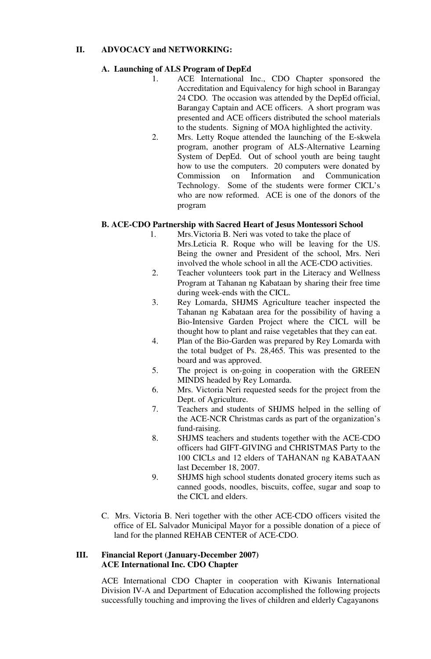# **II. ADVOCACY and NETWORKING:**

# **A. Launching of ALS Program of DepEd**

- 1. ACE International Inc., CDO Chapter sponsored the Accreditation and Equivalency for high school in Barangay 24 CDO. The occasion was attended by the DepEd official, Barangay Captain and ACE officers. A short program was presented and ACE officers distributed the school materials to the students. Signing of MOA highlighted the activity.
- 2. Mrs. Letty Roque attended the launching of the E-skwela program, another program of ALS-Alternative Learning System of DepEd. Out of school youth are being taught how to use the computers. 20 computers were donated by Commission on Information and Communication Technology. Some of the students were former CICL's who are now reformed. ACE is one of the donors of the program

# **B. ACE-CDO Partnership with Sacred Heart of Jesus Montessori School**

- 1. Mrs.Victoria B. Neri was voted to take the place of Mrs.Leticia R. Roque who will be leaving for the US. Being the owner and President of the school, Mrs. Neri involved the whole school in all the ACE-CDO activities.
- 2. Teacher volunteers took part in the Literacy and Wellness Program at Tahanan ng Kabataan by sharing their free time during week-ends with the CICL.
- 3. Rey Lomarda, SHJMS Agriculture teacher inspected the Tahanan ng Kabataan area for the possibility of having a Bio-Intensive Garden Project where the CICL will be thought how to plant and raise vegetables that they can eat.
- 4. Plan of the Bio-Garden was prepared by Rey Lomarda with the total budget of Ps. 28,465. This was presented to the board and was approved.
- 5. The project is on-going in cooperation with the GREEN MINDS headed by Rey Lomarda.
- 6. Mrs. Victoria Neri requested seeds for the project from the Dept. of Agriculture.
- 7. Teachers and students of SHJMS helped in the selling of the ACE-NCR Christmas cards as part of the organization's fund-raising.
- 8. SHJMS teachers and students together with the ACE-CDO officers had GIFT-GIVING and CHRISTMAS Party to the 100 CICLs and 12 elders of TAHANAN ng KABATAAN last December 18, 2007.
- 9. SHJMS high school students donated grocery items such as canned goods, noodles, biscuits, coffee, sugar and soap to the CICL and elders.
- C. Mrs. Victoria B. Neri together with the other ACE-CDO officers visited the office of EL Salvador Municipal Mayor for a possible donation of a piece of land for the planned REHAB CENTER of ACE-CDO.

# **III. Financial Report (January-December 2007) ACE International Inc. CDO Chapter**

ACE International CDO Chapter in cooperation with Kiwanis International Division IV-A and Department of Education accomplished the following projects successfully touching and improving the lives of children and elderly Cagayanons